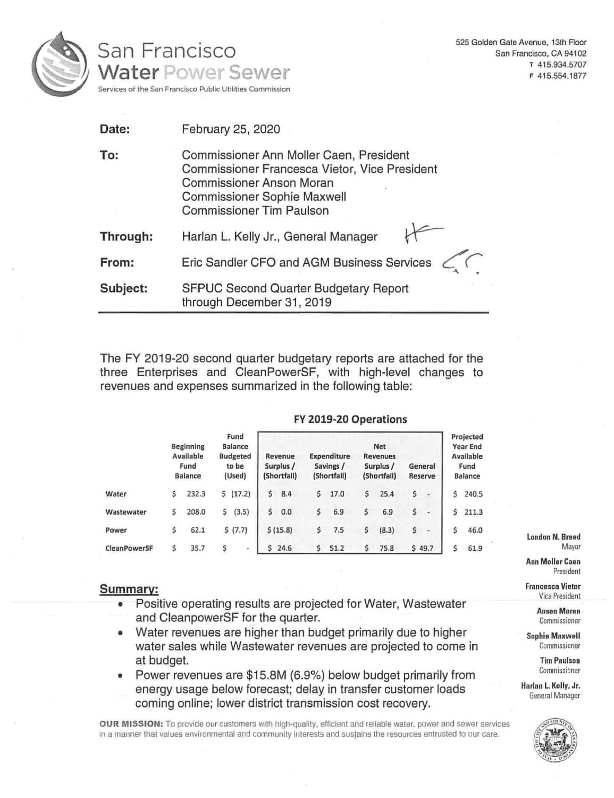

525 Golden Gate Avenue, 13th Floor San Francisco, CA 94102 T 415.934.5707 F 415.554.1877

| Date:    | February 25, 2020                                                                                                                                                                                    |  |  |  |  |  |  |  |
|----------|------------------------------------------------------------------------------------------------------------------------------------------------------------------------------------------------------|--|--|--|--|--|--|--|
| To:      | Commissioner Ann Moller Caen, President<br>Commissioner Francesca Vietor, Vice President<br><b>Commissioner Anson Moran</b><br><b>Commissioner Sophie Maxwell</b><br><b>Commissioner Tim Paulson</b> |  |  |  |  |  |  |  |
| Through: | Harlan L. Kelly Jr., General Manager                                                                                                                                                                 |  |  |  |  |  |  |  |
| From:    | Eric Sandler CFO and AGM Business Services                                                                                                                                                           |  |  |  |  |  |  |  |
| Subject: | SFPUC Second Quarter Budgetary Report<br>through December 31, 2019                                                                                                                                   |  |  |  |  |  |  |  |

The FY 2019-20 second quarter budgetary reports are attached for the three Enterprises and CleanPowerSF, with high-level changes to revenues and expenses summarized in the following table:

|                     |    | <b>Beginning</b><br>Available<br>Fund<br><b>Balance</b> |    | Fund<br><b>Balance</b><br><b>Budgeted</b><br>to be<br>(Used) | <b>Net</b><br><b>Expenditure</b><br><b>Revenues</b><br>Revenue<br>Savings /<br>Surplus /<br>Surplus /<br>(Shortfall)<br>(Shortfall)<br>(Shortfall) |          |    |      |   | General<br>Reserve |    | Projected<br><b>Year End</b><br>Available<br>Fund<br><b>Balance</b> |    |       |
|---------------------|----|---------------------------------------------------------|----|--------------------------------------------------------------|----------------------------------------------------------------------------------------------------------------------------------------------------|----------|----|------|---|--------------------|----|---------------------------------------------------------------------|----|-------|
| Water               | \$ | 232.3                                                   | Ś. | (17.2)                                                       | \$                                                                                                                                                 | 8.4      | \$ | 17.0 | Ś | 25.4               | \$ | $\frac{1}{2}$                                                       | \$ | 240.5 |
| Wastewater          | \$ | 208.0                                                   | \$ | (3.5)                                                        | \$                                                                                                                                                 | 0.0      | \$ | 6.9  | S | 6.9                | \$ | ۰                                                                   |    | 211.3 |
| Power               |    | 62.1                                                    |    | \$(7.7)                                                      |                                                                                                                                                    | \$(15.8) | \$ | 7.5  | Ś | (8.3)              | \$ |                                                                     | Ś  | 46.0  |
| <b>CleanPowerSF</b> | s  | 35.7                                                    | s  | $\blacksquare$                                               |                                                                                                                                                    | 524.6    | Ś. | 51.2 |   | 75.8               |    | \$49.7                                                              | Ś  | 61.9  |

FY 2019-20 Operations

# **Summary:**

- Positive operating results are projected for Water, Wastewater and CleanpowerSF for the quarter.
- Water revenues are higher than budget primarily due to higher water sales while Wastewater revenues are projected to come in at budget.
- Power revenues are \$15.8M (6.9%) below budget primarily from energy usage below forecast; delay in transfer customer loads coming online; lower district transmission cost recovery.

**OUR MISSION:** To provide our customers with high-quality, efficient and reliable water, power and sewer services in a manner that values environmental and community interests and sustains the resources entrusted to our care,

## London **N.** Breed Mayor

Ann Moller Caen President

Francesca Vietor Vice President

> Anson Moran Commissioner

Sophie **Maxwell**  Commissioner

> Tim Paulson Commissioner

**Harlan L Kelly, Jr.**  General Manager

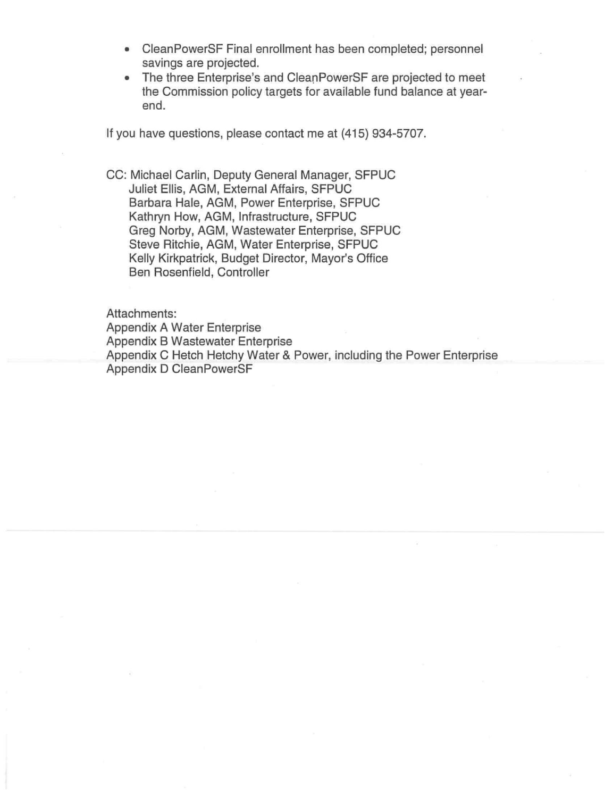- CleanPowerSF Final enrollment has been completed; personnel savings are projected.
- The three Enterprise's and CleanPowerSF are projected to meet the Commission policy targets for available fund balance at yearend.

If you have questions, please contact me at (415) 934-5707.

CC: Michael Carlin, Deputy General Manager, SFPUC Juliet Ellis, AGM, External Affairs, SFPUC Barbara Hale, AGM, Power Enterprise, SFPUC Kathryn How, AGM, Infrastructure, SFPUC Greg Norby, AGM, Wastewater Enterprise, SFPUC Steve Ritchie, AGM, Water Enterprise, SFPUC Kelly Kirkpatrick, Budget Director, Mayor's Office Ben Rosenfield, Controller

Attachments: Appendix A Water Enterprise Appendix B Wastewater Enterprise Appendix C Hetch Hetchy Water & Power, including the Power Enterprise Appendix D CleanPowerSF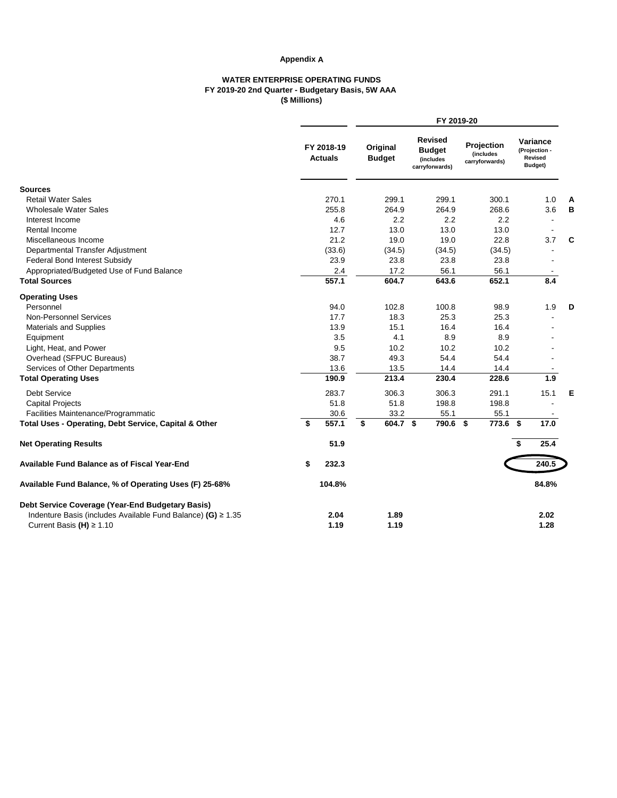### **Appendix A**

### **WATER ENTERPRISE OPERATING FUNDS FY 2019-20 2nd Quarter - Budgetary Basis, 5W AAA (\$ Millions)**

|                                                                   |                              | FY 2019-20                |          |                                                                |                                           |    |                                                 |   |  |  |
|-------------------------------------------------------------------|------------------------------|---------------------------|----------|----------------------------------------------------------------|-------------------------------------------|----|-------------------------------------------------|---|--|--|
|                                                                   | FY 2018-19<br><b>Actuals</b> | Original<br><b>Budget</b> |          | <b>Revised</b><br><b>Budget</b><br>(includes<br>carryforwards) | Projection<br>(includes<br>carryforwards) |    | Variance<br>(Projection -<br>Revised<br>Budget) |   |  |  |
| <b>Sources</b>                                                    |                              |                           |          |                                                                |                                           |    |                                                 |   |  |  |
| <b>Retail Water Sales</b>                                         | 270.1                        | 299.1                     |          | 299.1                                                          | 300.1                                     |    | 1.0                                             | A |  |  |
| <b>Wholesale Water Sales</b>                                      | 255.8                        | 264.9                     |          | 264.9                                                          | 268.6                                     |    | 3.6                                             | В |  |  |
| Interest Income                                                   | 4.6                          |                           | 2.2      | 2.2                                                            | 2.2                                       |    |                                                 |   |  |  |
| Rental Income                                                     | 12.7                         | 13.0                      |          | 13.0                                                           | 13.0                                      |    |                                                 |   |  |  |
| Miscellaneous Income                                              | 21.2                         | 19.0                      |          | 19.0                                                           | 22.8                                      |    | 3.7                                             | C |  |  |
| Departmental Transfer Adjustment                                  | (33.6)                       | (34.5)                    |          | (34.5)                                                         | (34.5)                                    |    |                                                 |   |  |  |
| <b>Federal Bond Interest Subsidy</b>                              | 23.9                         | 23.8                      |          | 23.8                                                           | 23.8                                      |    |                                                 |   |  |  |
| Appropriated/Budgeted Use of Fund Balance                         | 2.4                          | 17.2                      |          | 56.1                                                           | 56.1                                      |    |                                                 |   |  |  |
| <b>Total Sources</b>                                              | 557.1                        | 604.7                     |          | 643.6                                                          | 652.1                                     |    | 8.4                                             |   |  |  |
| <b>Operating Uses</b>                                             |                              |                           |          |                                                                |                                           |    |                                                 |   |  |  |
| Personnel                                                         | 94.0                         | 102.8                     |          | 100.8                                                          | 98.9                                      |    | 1.9                                             | D |  |  |
| <b>Non-Personnel Services</b>                                     | 17.7                         | 18.3                      |          | 25.3                                                           | 25.3                                      |    |                                                 |   |  |  |
| <b>Materials and Supplies</b>                                     | 13.9                         | 15.1                      |          | 16.4                                                           | 16.4                                      |    |                                                 |   |  |  |
| Equipment                                                         | 3.5                          |                           | 4.1      | 8.9                                                            | 8.9                                       |    |                                                 |   |  |  |
| Light, Heat, and Power                                            | 9.5                          | 10.2                      |          | 10.2                                                           | 10.2                                      |    |                                                 |   |  |  |
| Overhead (SFPUC Bureaus)                                          | 38.7                         | 49.3                      |          | 54.4                                                           | 54.4                                      |    |                                                 |   |  |  |
| Services of Other Departments                                     | 13.6                         | 13.5                      |          | 14.4                                                           | 14.4                                      |    |                                                 |   |  |  |
| <b>Total Operating Uses</b>                                       | 190.9                        | 213.4                     |          | 230.4                                                          | 228.6                                     |    | 1.9                                             |   |  |  |
| <b>Debt Service</b>                                               | 283.7                        | 306.3                     |          | 306.3                                                          | 291.1                                     |    | 15.1                                            | Е |  |  |
| <b>Capital Projects</b>                                           | 51.8                         | 51.8                      |          | 198.8                                                          | 198.8                                     |    |                                                 |   |  |  |
| Facilities Maintenance/Programmatic                               | 30.6                         | 33.2                      |          | 55.1                                                           | 55.1                                      |    |                                                 |   |  |  |
| Total Uses - Operating, Debt Service, Capital & Other             | \$<br>557.1                  | \$                        | 604.7 \$ | 790.6 \$                                                       | 773.6                                     | \$ | 17.0                                            |   |  |  |
|                                                                   |                              |                           |          |                                                                |                                           |    |                                                 |   |  |  |
| <b>Net Operating Results</b>                                      | 51.9                         |                           |          |                                                                |                                           | \$ | 25.4                                            |   |  |  |
| <b>Available Fund Balance as of Fiscal Year-End</b>               | \$<br>232.3                  |                           |          |                                                                |                                           |    | 240.5                                           |   |  |  |
| Available Fund Balance, % of Operating Uses (F) 25-68%            | 104.8%                       |                           |          |                                                                |                                           |    | 84.8%                                           |   |  |  |
| Debt Service Coverage (Year-End Budgetary Basis)                  |                              |                           |          |                                                                |                                           |    |                                                 |   |  |  |
| Indenture Basis (includes Available Fund Balance) (G) $\geq 1.35$ | 2.04                         | 1.89                      |          |                                                                |                                           |    | 2.02                                            |   |  |  |
| Current Basis (H) $\geq 1.10$                                     | 1.19                         | 1.19                      |          |                                                                |                                           |    | 1.28                                            |   |  |  |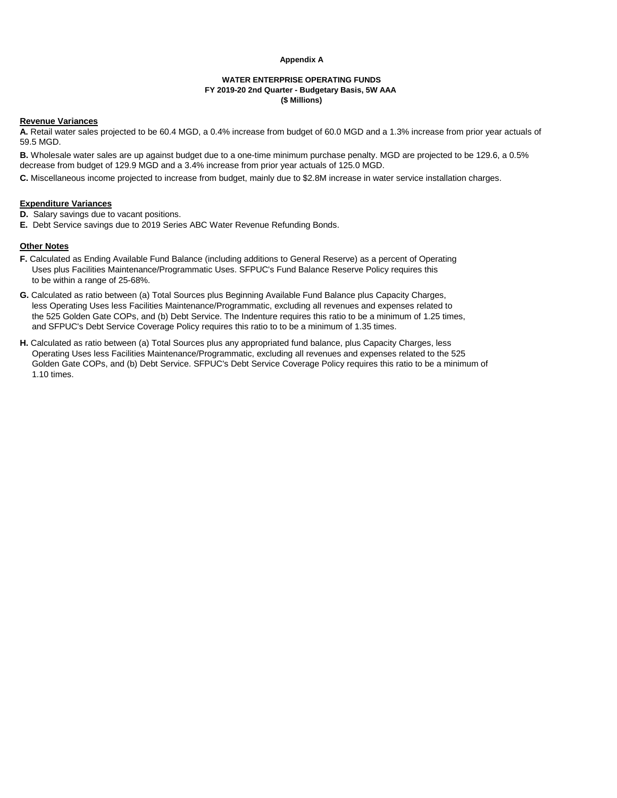#### **Appendix A**

#### **WATER ENTERPRISE OPERATING FUNDS FY 2019-20 2nd Quarter - Budgetary Basis, 5W AAA (\$ Millions)**

#### **Revenue Variances**

**A.** Retail water sales projected to be 60.4 MGD, a 0.4% increase from budget of 60.0 MGD and a 1.3% increase from prior year actuals of 59.5 MGD.

**B.** Wholesale water sales are up against budget due to a one-time minimum purchase penalty. MGD are projected to be 129.6, a 0.5% decrease from budget of 129.9 MGD and a 3.4% increase from prior year actuals of 125.0 MGD.

**C.** Miscellaneous income projected to increase from budget, mainly due to \$2.8M increase in water service installation charges.

### **Expenditure Variances**

**D.** Salary savings due to vacant positions.

**E.** Debt Service savings due to 2019 Series ABC Water Revenue Refunding Bonds.

#### **Other Notes**

- **F.** Calculated as Ending Available Fund Balance (including additions to General Reserve) as a percent of Operating Uses plus Facilities Maintenance/Programmatic Uses. SFPUC's Fund Balance Reserve Policy requires this to be within a range of 25-68%.
- **G.** Calculated as ratio between (a) Total Sources plus Beginning Available Fund Balance plus Capacity Charges, less Operating Uses less Facilities Maintenance/Programmatic, excluding all revenues and expenses related to the 525 Golden Gate COPs, and (b) Debt Service. The Indenture requires this ratio to be a minimum of 1.25 times, and SFPUC's Debt Service Coverage Policy requires this ratio to to be a minimum of 1.35 times.
- **H.** Calculated as ratio between (a) Total Sources plus any appropriated fund balance, plus Capacity Charges, less Operating Uses less Facilities Maintenance/Programmatic, excluding all revenues and expenses related to the 525 Golden Gate COPs, and (b) Debt Service. SFPUC's Debt Service Coverage Policy requires this ratio to be a minimum of 1.10 times.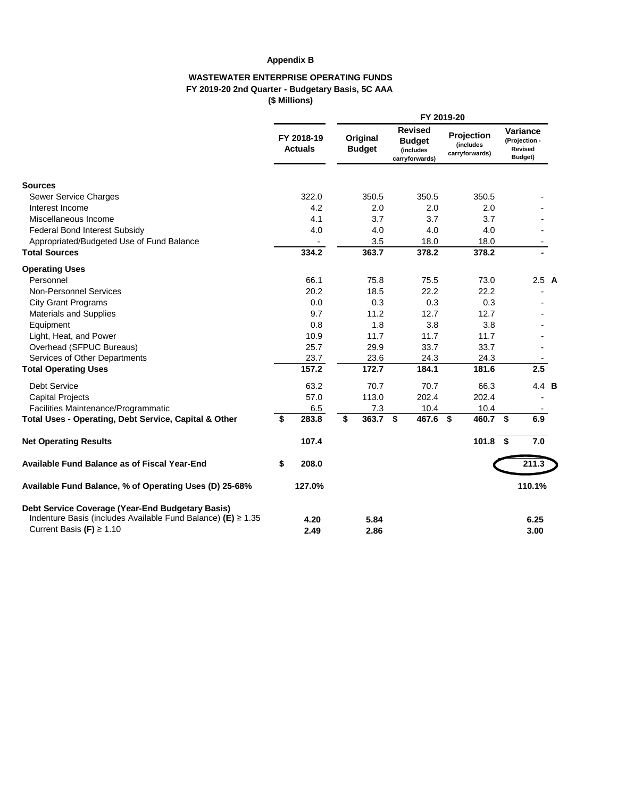## **Appendix B**

### **WASTEWATER ENTERPRISE OPERATING FUNDS FY 2019-20 2nd Quarter - Budgetary Basis, 5C AAA (\$ Millions)**

|                                                                   |                              | FY 2019-20 |                           |  |                                                                |  |                                           |    |                                                        |  |  |
|-------------------------------------------------------------------|------------------------------|------------|---------------------------|--|----------------------------------------------------------------|--|-------------------------------------------|----|--------------------------------------------------------|--|--|
|                                                                   | FY 2018-19<br><b>Actuals</b> |            | Original<br><b>Budget</b> |  | <b>Revised</b><br><b>Budget</b><br>(includes<br>carryforwards) |  | Projection<br>(includes<br>carryforwards) |    | Variance<br>(Projection -<br><b>Revised</b><br>Budget) |  |  |
| <b>Sources</b>                                                    |                              |            |                           |  |                                                                |  |                                           |    |                                                        |  |  |
| Sewer Service Charges                                             | 322.0                        |            | 350.5                     |  | 350.5                                                          |  | 350.5                                     |    |                                                        |  |  |
| Interest Income                                                   | 4.2                          |            | 2.0                       |  | 2.0                                                            |  | 2.0                                       |    |                                                        |  |  |
| Miscellaneous Income                                              | 4.1                          |            | 3.7                       |  | 3.7                                                            |  | 3.7                                       |    |                                                        |  |  |
| Federal Bond Interest Subsidy                                     | 4.0                          |            | 4.0                       |  | 4.0                                                            |  | 4.0                                       |    |                                                        |  |  |
| Appropriated/Budgeted Use of Fund Balance                         |                              |            | 3.5                       |  | 18.0                                                           |  | 18.0                                      |    |                                                        |  |  |
| <b>Total Sources</b>                                              | 334.2                        |            | 363.7                     |  | 378.2                                                          |  | 378.2                                     |    |                                                        |  |  |
| <b>Operating Uses</b>                                             |                              |            |                           |  |                                                                |  |                                           |    |                                                        |  |  |
| Personnel                                                         | 66.1                         |            | 75.8                      |  | 75.5                                                           |  | 73.0                                      |    | 2.5A                                                   |  |  |
| <b>Non-Personnel Services</b>                                     | 20.2                         |            | 18.5                      |  | 22.2                                                           |  | 22.2                                      |    |                                                        |  |  |
| <b>City Grant Programs</b>                                        | 0.0                          |            | 0.3                       |  | 0.3                                                            |  | 0.3                                       |    |                                                        |  |  |
| Materials and Supplies                                            | 9.7                          |            | 11.2                      |  | 12.7                                                           |  | 12.7                                      |    |                                                        |  |  |
| Equipment                                                         | 0.8                          |            | 1.8                       |  | 3.8                                                            |  | 3.8                                       |    |                                                        |  |  |
| Light, Heat, and Power                                            | 10.9                         |            | 11.7                      |  | 11.7                                                           |  | 11.7                                      |    |                                                        |  |  |
| Overhead (SFPUC Bureaus)                                          | 25.7                         |            | 29.9                      |  | 33.7                                                           |  | 33.7                                      |    |                                                        |  |  |
| Services of Other Departments                                     | 23.7                         |            | 23.6                      |  | 24.3                                                           |  | 24.3                                      |    |                                                        |  |  |
| <b>Total Operating Uses</b>                                       | 157.2                        |            | 172.7                     |  | 184.1                                                          |  | 181.6                                     |    | 2.5                                                    |  |  |
| <b>Debt Service</b>                                               | 63.2                         |            | 70.7                      |  | 70.7                                                           |  | 66.3                                      |    | 4.4 <b>B</b>                                           |  |  |
| <b>Capital Projects</b>                                           | 57.0                         |            | 113.0                     |  | 202.4                                                          |  | 202.4                                     |    |                                                        |  |  |
| Facilities Maintenance/Programmatic                               | 6.5                          |            | 7.3                       |  | 10.4                                                           |  | 10.4                                      |    |                                                        |  |  |
| Total Uses - Operating, Debt Service, Capital & Other             | \$<br>283.8                  | \$         | $363.7$ \$                |  | 467.6 \$                                                       |  | 460.7                                     | \$ | 6.9                                                    |  |  |
| <b>Net Operating Results</b>                                      | 107.4                        |            |                           |  |                                                                |  | $101.8$ \$                                |    | 7.0                                                    |  |  |
| Available Fund Balance as of Fiscal Year-End                      | \$<br>208.0                  |            |                           |  |                                                                |  |                                           |    | 211.3                                                  |  |  |
| Available Fund Balance, % of Operating Uses (D) 25-68%            | 127.0%                       |            |                           |  |                                                                |  |                                           |    | 110.1%                                                 |  |  |
| Debt Service Coverage (Year-End Budgetary Basis)                  |                              |            |                           |  |                                                                |  |                                           |    |                                                        |  |  |
| Indenture Basis (includes Available Fund Balance) (E) $\geq 1.35$ | 4.20                         |            | 5.84                      |  |                                                                |  |                                           |    | 6.25                                                   |  |  |
| Current Basis $(F) \ge 1.10$                                      | 2.49                         |            | 2.86                      |  |                                                                |  |                                           |    | 3.00                                                   |  |  |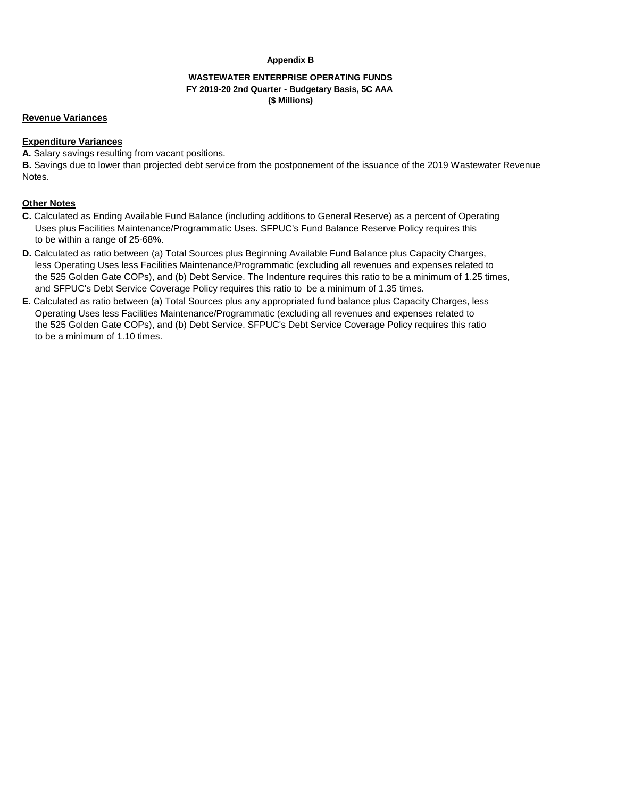#### **Appendix B**

### **WASTEWATER ENTERPRISE OPERATING FUNDS FY 2019-20 2nd Quarter - Budgetary Basis, 5C AAA (\$ Millions)**

### **Revenue Variances**

### **Expenditure Variances**

**A.** Salary savings resulting from vacant positions.

**B.** Savings due to lower than projected debt service from the postponement of the issuance of the 2019 Wastewater Revenue Notes.

## **Other Notes**

- **C.** Calculated as Ending Available Fund Balance (including additions to General Reserve) as a percent of Operating Uses plus Facilities Maintenance/Programmatic Uses. SFPUC's Fund Balance Reserve Policy requires this to be within a range of 25-68%.
- **D.** Calculated as ratio between (a) Total Sources plus Beginning Available Fund Balance plus Capacity Charges, less Operating Uses less Facilities Maintenance/Programmatic (excluding all revenues and expenses related to the 525 Golden Gate COPs), and (b) Debt Service. The Indenture requires this ratio to be a minimum of 1.25 times, and SFPUC's Debt Service Coverage Policy requires this ratio to be a minimum of 1.35 times.
- **E.** Calculated as ratio between (a) Total Sources plus any appropriated fund balance plus Capacity Charges, less Operating Uses less Facilities Maintenance/Programmatic (excluding all revenues and expenses related to the 525 Golden Gate COPs), and (b) Debt Service. SFPUC's Debt Service Coverage Policy requires this ratio to be a minimum of 1.10 times.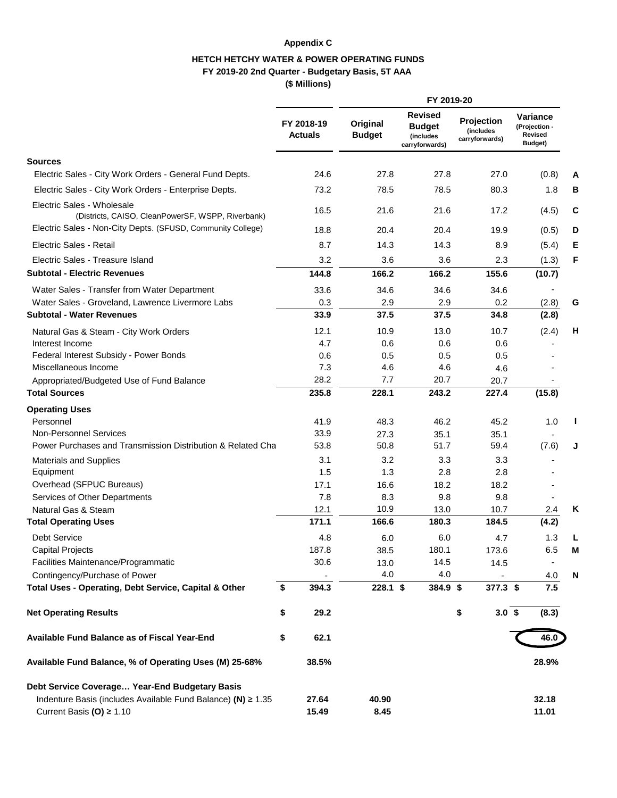## **Appendix C**

## **HETCH HETCHY WATER & POWER OPERATING FUNDS FY 2019-20 2nd Quarter - Budgetary Basis, 5T AAA (\$ Millions)**

|                                                                                              |                              |                          | FY 2019-20                |                                                                |                                                          |                                                 |                |  |  |  |
|----------------------------------------------------------------------------------------------|------------------------------|--------------------------|---------------------------|----------------------------------------------------------------|----------------------------------------------------------|-------------------------------------------------|----------------|--|--|--|
|                                                                                              | FY 2018-19<br><b>Actuals</b> |                          | Original<br><b>Budget</b> | <b>Revised</b><br><b>Budget</b><br>(includes<br>carryforwards) | Projection<br><i><b>(includes)</b></i><br>carryforwards) | Variance<br>(Projection -<br>Revised<br>Budget) |                |  |  |  |
| <b>Sources</b>                                                                               |                              |                          |                           |                                                                |                                                          |                                                 |                |  |  |  |
| Electric Sales - City Work Orders - General Fund Depts.                                      |                              | 24.6                     | 27.8                      | 27.8                                                           | 27.0                                                     |                                                 | (0.8)<br>A     |  |  |  |
| Electric Sales - City Work Orders - Enterprise Depts.                                        |                              | 73.2                     | 78.5                      | 78.5                                                           | 80.3                                                     |                                                 | 1.8<br>В       |  |  |  |
| Electric Sales - Wholesale<br>(Districts, CAISO, CleanPowerSF, WSPP, Riverbank)              |                              | 16.5                     | 21.6                      | 21.6                                                           | 17.2                                                     |                                                 | C<br>(4.5)     |  |  |  |
| Electric Sales - Non-City Depts. (SFUSD, Community College)                                  |                              | 18.8                     | 20.4                      | 20.4                                                           | 19.9                                                     |                                                 | (0.5)<br>D     |  |  |  |
| Electric Sales - Retail                                                                      |                              | 8.7                      | 14.3                      | 14.3                                                           | 8.9                                                      |                                                 | Е<br>(5.4)     |  |  |  |
| Electric Sales - Treasure Island                                                             |                              | 3.2                      | 3.6                       | 3.6                                                            | 2.3                                                      |                                                 | F<br>(1.3)     |  |  |  |
| <b>Subtotal - Electric Revenues</b>                                                          | 144.8                        |                          | 166.2                     | 166.2                                                          | 155.6                                                    |                                                 | (10.7)         |  |  |  |
| Water Sales - Transfer from Water Department                                                 |                              | 33.6                     | 34.6                      | 34.6                                                           | 34.6                                                     |                                                 |                |  |  |  |
| Water Sales - Groveland, Lawrence Livermore Labs                                             |                              | 0.3                      | 2.9                       | 2.9                                                            | 0.2                                                      |                                                 | (2.8)<br>G     |  |  |  |
| <b>Subtotal - Water Revenues</b>                                                             |                              | 33.9                     | 37.5                      | 37.5                                                           | 34.8                                                     |                                                 | (2.8)          |  |  |  |
| Natural Gas & Steam - City Work Orders                                                       |                              | 12.1                     | 10.9                      | 13.0                                                           | 10.7                                                     |                                                 | (2.4)<br>Н     |  |  |  |
| Interest Income                                                                              |                              | 4.7                      | 0.6                       | 0.6                                                            | 0.6                                                      |                                                 |                |  |  |  |
| Federal Interest Subsidy - Power Bonds                                                       |                              | 0.6                      | 0.5                       | 0.5                                                            | 0.5                                                      |                                                 |                |  |  |  |
| Miscellaneous Income                                                                         |                              | 7.3                      | 4.6                       | 4.6                                                            | 4.6                                                      |                                                 |                |  |  |  |
| Appropriated/Budgeted Use of Fund Balance                                                    |                              | 28.2                     | 7.7                       | 20.7                                                           | 20.7                                                     |                                                 |                |  |  |  |
| <b>Total Sources</b>                                                                         | 235.8                        |                          | 228.1                     | 243.2                                                          | 227.4                                                    |                                                 | (15.8)         |  |  |  |
| <b>Operating Uses</b>                                                                        |                              |                          |                           |                                                                |                                                          |                                                 |                |  |  |  |
| Personnel                                                                                    |                              | 41.9                     | 48.3                      | 46.2                                                           | 45.2                                                     |                                                 | 1.0            |  |  |  |
| <b>Non-Personnel Services</b><br>Power Purchases and Transmission Distribution & Related Cha |                              | 33.9<br>53.8             | 27.3<br>50.8              | 35.1<br>51.7                                                   | 35.1<br>59.4                                             |                                                 | (7.6)          |  |  |  |
|                                                                                              |                              | 3.1                      | 3.2                       | 3.3                                                            | 3.3                                                      |                                                 |                |  |  |  |
| <b>Materials and Supplies</b><br>Equipment                                                   |                              | 1.5                      | 1.3                       | 2.8                                                            | 2.8                                                      |                                                 |                |  |  |  |
| Overhead (SFPUC Bureaus)                                                                     |                              | 17.1                     | 16.6                      | 18.2                                                           | 18.2                                                     |                                                 |                |  |  |  |
| Services of Other Departments                                                                |                              | 7.8                      | 8.3                       | 9.8                                                            | 9.8                                                      |                                                 | $\blacksquare$ |  |  |  |
| Natural Gas & Steam                                                                          |                              | 12.1                     | 10.9                      | 13.0                                                           | 10.7                                                     |                                                 | Κ<br>2.4       |  |  |  |
| <b>Total Operating Uses</b>                                                                  | 171.1                        |                          | 166.6                     | 180.3                                                          | 184.5                                                    |                                                 | (4.2)          |  |  |  |
| <b>Debt Service</b>                                                                          |                              | 4.8                      | 6.0                       | 6.0                                                            | 4.7                                                      |                                                 | 1.3            |  |  |  |
| Capital Projects                                                                             | 187.8                        |                          | 38.5                      | 180.1                                                          | 173.6                                                    |                                                 | 6.5<br>M       |  |  |  |
| Facilities Maintenance/Programmatic                                                          |                              | 30.6                     | 13.0                      | 14.5                                                           | 14.5                                                     |                                                 |                |  |  |  |
| Contingency/Purchase of Power                                                                |                              | $\overline{\phantom{a}}$ | 4.0                       | 4.0                                                            |                                                          |                                                 | N<br>4.0       |  |  |  |
| Total Uses - Operating, Debt Service, Capital & Other                                        | \$<br>394.3                  |                          | 228.1 \$                  | 384.9 \$                                                       | $377.3$ \$                                               |                                                 | 7.5            |  |  |  |
| <b>Net Operating Results</b>                                                                 | \$                           | 29.2                     |                           |                                                                | 3.0~\$<br>\$                                             |                                                 | (8.3)          |  |  |  |
| Available Fund Balance as of Fiscal Year-End                                                 | \$                           | 62.1                     |                           |                                                                |                                                          |                                                 | 46.0           |  |  |  |
| Available Fund Balance, % of Operating Uses (M) 25-68%                                       | 38.5%                        |                          |                           |                                                                |                                                          |                                                 | 28.9%          |  |  |  |
| Debt Service Coverage Year-End Budgetary Basis                                               |                              |                          |                           |                                                                |                                                          |                                                 |                |  |  |  |
| Indenture Basis (includes Available Fund Balance) (N) $\geq 1.35$                            | 27.64                        |                          | 40.90                     |                                                                |                                                          |                                                 | 32.18          |  |  |  |
| Current Basis (O) $\geq 1.10$                                                                | 15.49                        |                          | 8.45                      |                                                                |                                                          |                                                 | 11.01          |  |  |  |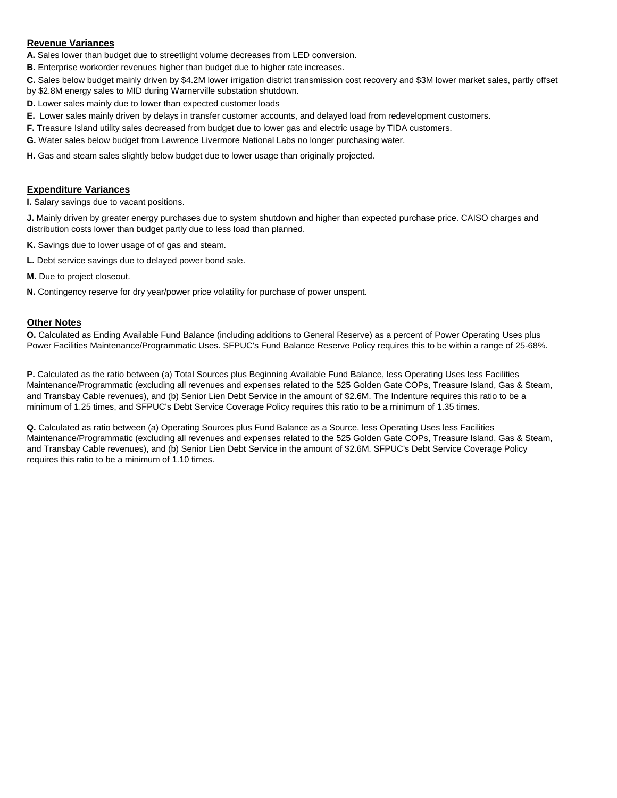### **Revenue Variances**

- **A.** Sales lower than budget due to streetlight volume decreases from LED conversion.
- **B.** Enterprise workorder revenues higher than budget due to higher rate increases.
- **C.** Sales below budget mainly driven by \$4.2M lower irrigation district transmission cost recovery and \$3M lower market sales, partly offset
- by \$2.8M energy sales to MID during Warnerville substation shutdown.
- **D.** Lower sales mainly due to lower than expected customer loads
- **E.** Lower sales mainly driven by delays in transfer customer accounts, and delayed load from redevelopment customers.
- **F.** Treasure Island utility sales decreased from budget due to lower gas and electric usage by TIDA customers.
- **G.** Water sales below budget from Lawrence Livermore National Labs no longer purchasing water.
- **H.** Gas and steam sales slightly below budget due to lower usage than originally projected.

# **Expenditure Variances**

**I.** Salary savings due to vacant positions.

**J.** Mainly driven by greater energy purchases due to system shutdown and higher than expected purchase price. CAISO charges and distribution costs lower than budget partly due to less load than planned.

- **K.** Savings due to lower usage of of gas and steam.
- **L.** Debt service savings due to delayed power bond sale.
- **M.** Due to project closeout.
- **N.** Contingency reserve for dry year/power price volatility for purchase of power unspent.

# **Other Notes**

**O.** Calculated as Ending Available Fund Balance (including additions to General Reserve) as a percent of Power Operating Uses plus Power Facilities Maintenance/Programmatic Uses. SFPUC's Fund Balance Reserve Policy requires this to be within a range of 25-68%.

**P.** Calculated as the ratio between (a) Total Sources plus Beginning Available Fund Balance, less Operating Uses less Facilities Maintenance/Programmatic (excluding all revenues and expenses related to the 525 Golden Gate COPs, Treasure Island, Gas & Steam, and Transbay Cable revenues), and (b) Senior Lien Debt Service in the amount of \$2.6M. The Indenture requires this ratio to be a minimum of 1.25 times, and SFPUC's Debt Service Coverage Policy requires this ratio to be a minimum of 1.35 times.

**Q.** Calculated as ratio between (a) Operating Sources plus Fund Balance as a Source, less Operating Uses less Facilities Maintenance/Programmatic (excluding all revenues and expenses related to the 525 Golden Gate COPs, Treasure Island, Gas & Steam, and Transbay Cable revenues), and (b) Senior Lien Debt Service in the amount of \$2.6M. SFPUC's Debt Service Coverage Policy requires this ratio to be a minimum of 1.10 times.